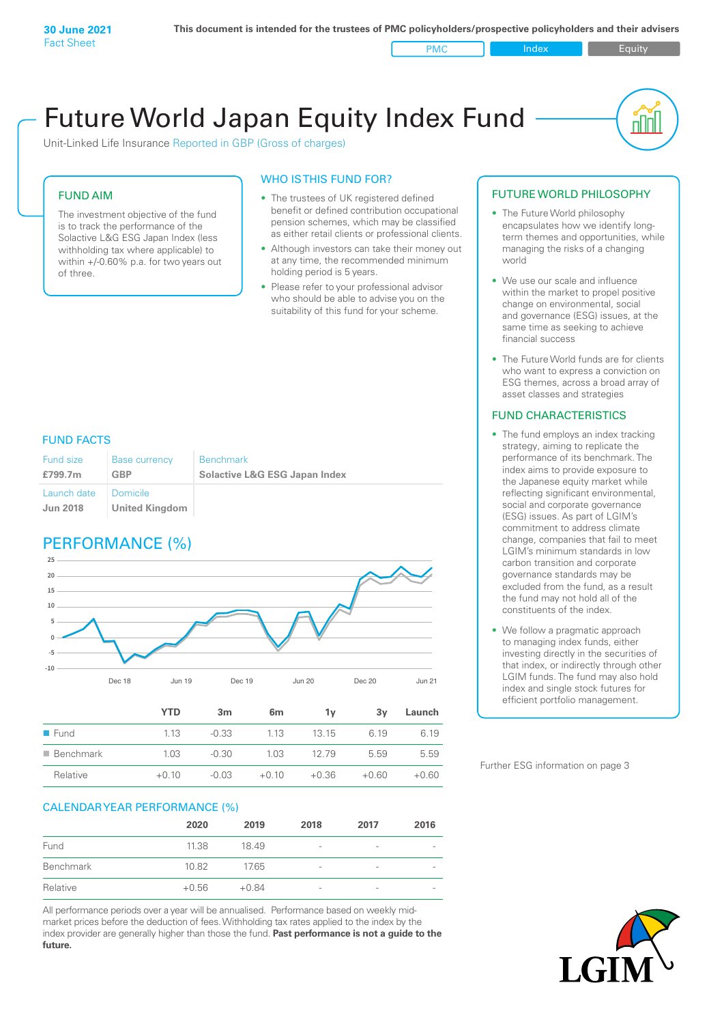PMC Index Index Equity

nl Inl

# Future World Japan Equity Index Fund

Unit-Linked Life Insurance Reported in GBP (Gross of charges)

### FUND AIM

The investment objective of the fund is to track the performance of the Solactive L&G ESG Japan Index (less withholding tax where applicable) to within +/-0.60% p.a. for two years out of three.

#### WHO IS THIS FUND FOR?

- The trustees of UK registered defined benefit or defined contribution occupational pension schemes, which may be classified as either retail clients or professional clients.
- Although investors can take their money out at any time, the recommended minimum holding period is 5 years.
- Please refer to your professional advisor who should be able to advise you on the suitability of this fund for your scheme.

#### FUND FACTS

| Fund size<br>£799.7m   | <b>Base currency</b><br>GBP | <b>Benchmark</b><br><b>Solactive L&amp;G ESG Japan Index</b> |
|------------------------|-----------------------------|--------------------------------------------------------------|
| Launch date   Domicile |                             |                                                              |
| <b>Jun 2018</b>        | <b>United Kingdom</b>       |                                                              |

### PERFORMANCE (%)



|                          | YTD     | 3m      | 6 <sub>m</sub> | 1v      | 3v      | Launch  |
|--------------------------|---------|---------|----------------|---------|---------|---------|
| $\blacksquare$ Fund      | 1.13    | $-0.33$ | 1.13           | 13.15   | 6.19    | 6.19    |
| $\blacksquare$ Benchmark | 1.03    | $-0.30$ | 1.03           | 12 79   | 5.59    | 5.59    |
| Relative                 | $+0.10$ | $-0.03$ | $+0.10$        | $+0.36$ | $+0.60$ | $+0.60$ |

#### CALENDAR YEAR PERFORMANCE (%)

|           | 2020    | 2019    | 2018                     | 2017            | 2016                     |
|-----------|---------|---------|--------------------------|-----------------|--------------------------|
| Fund      | 11.38   | 18.49   | $\overline{\phantom{a}}$ | $\qquad \qquad$ |                          |
| Benchmark | 10.82   | 17.65   | -                        | -               | $\overline{\phantom{a}}$ |
| Relative  | $+0.56$ | $+0.84$ | $\overline{\phantom{a}}$ | $\qquad \qquad$ | $\overline{\phantom{a}}$ |

All performance periods over a year will be annualised. Performance based on weekly midmarket prices before the deduction of fees. Withholding tax rates applied to the index by the index provider are generally higher than those the fund. **Past performance is not a guide to the future.**

#### FUTURE WORLD PHILOSOPHY

- The Future World philosophy encapsulates how we identify longterm themes and opportunities, while managing the risks of a changing world
- We use our scale and influence within the market to propel positive change on environmental, social and governance (ESG) issues, at the same time as seeking to achieve financial success
- The Future World funds are for clients who want to express a conviction on ESG themes, across a broad array of asset classes and strategies

#### FUND CHARACTERISTICS

- The fund employs an index tracking strategy, aiming to replicate the performance of its benchmark. The index aims to provide exposure to the Japanese equity market while reflecting significant environmental, social and corporate governance (ESG) issues. As part of LGIM's commitment to address climate change, companies that fail to meet LGIM's minimum standards in low carbon transition and corporate governance standards may be excluded from the fund, as a result the fund may not hold all of the constituents of the index.
- We follow a pragmatic approach to managing index funds, either investing directly in the securities of that index, or indirectly through other LGIM funds. The fund may also hold index and single stock futures for efficient portfolio management.

Further ESG information on page 3

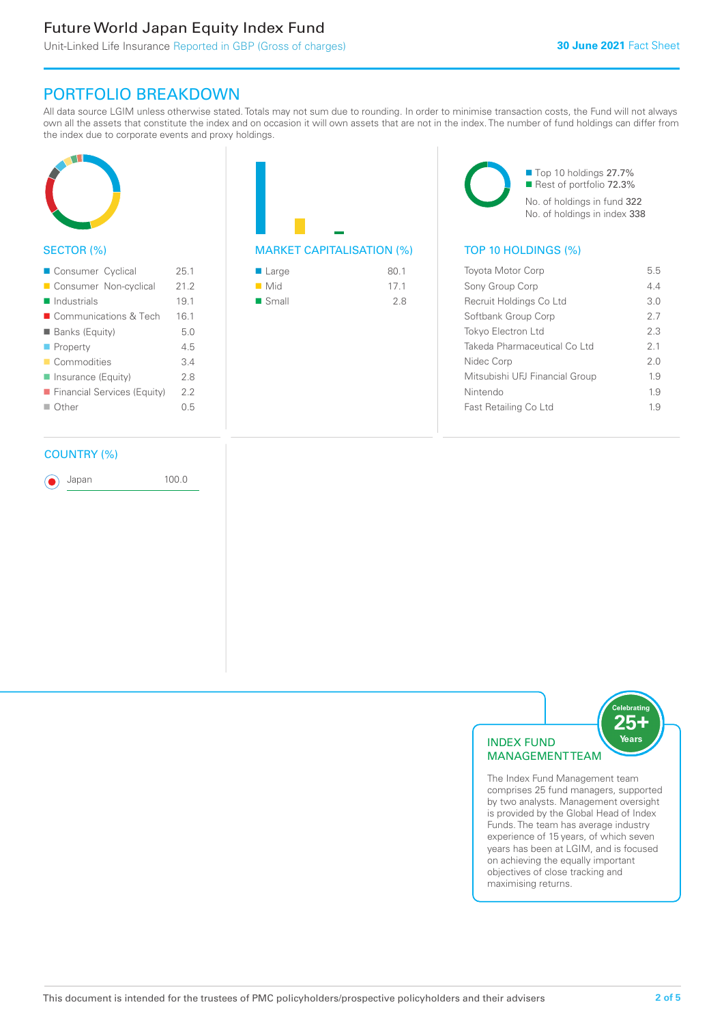### Future World Japan Equity Index Fund

## PORTFOLIO BREAKDOWN

All data source LGIM unless otherwise stated. Totals may not sum due to rounding. In order to minimise transaction costs, the Fund will not always own all the assets that constitute the index and on occasion it will own assets that are not in the index. The number of fund holdings can differ from the index due to corporate events and proxy holdings.



#### SECTOR (%)

| Consumer Cyclical           | 25.1 |
|-----------------------------|------|
| Consumer Non-cyclical       | 21.2 |
| $\blacksquare$ Industrials  | 19.1 |
| ■ Communications & Tech     | 16.1 |
| Banks (Equity)              | 5.0  |
| $\blacksquare$ Property     | 4.5  |
| ■ Commodities               | 34   |
| Insurance (Equity)          | 28   |
| Financial Services (Equity) | 2.2  |
| $\blacksquare$ Other        | 0.5  |
|                             |      |

#### COUNTRY (%)

Japan 100.0

MARKET CAPITALISATION (%) TOP 10 HOLDINGS (%)

| ■ Large              | 80.1 |
|----------------------|------|
| $\blacksquare$ Mid   | 171  |
| $\blacksquare$ Small | 28   |

■ Top 10 holdings 27.7% Rest of portfolio 72.3% No. of holdings in fund 322 No. of holdings in index 338

| <b>Toyota Motor Corp</b>       | 55             |
|--------------------------------|----------------|
| Sony Group Corp                | 44             |
| Recruit Holdings Co Ltd        | 3 O            |
| Softbank Group Corp            | 27             |
| <b>Tokyo Electron Ltd</b>      | 23             |
| Takeda Pharmaceutical Co Ltd   | 2 <sub>1</sub> |
| Nidec Corp                     | 20             |
| Mitsubishi UFJ Financial Group | 19             |
| Nintendo                       | 19             |
| Fast Retailing Co Ltd          | 19             |
|                                |                |



The Index Fund Management team comprises 25 fund managers, supported by two analysts. Management oversight is provided by the Global Head of Index Funds. The team has average industry experience of 15 years, of which seven years has been at LGIM, and is focused on achieving the equally important objectives of close tracking and maximising returns.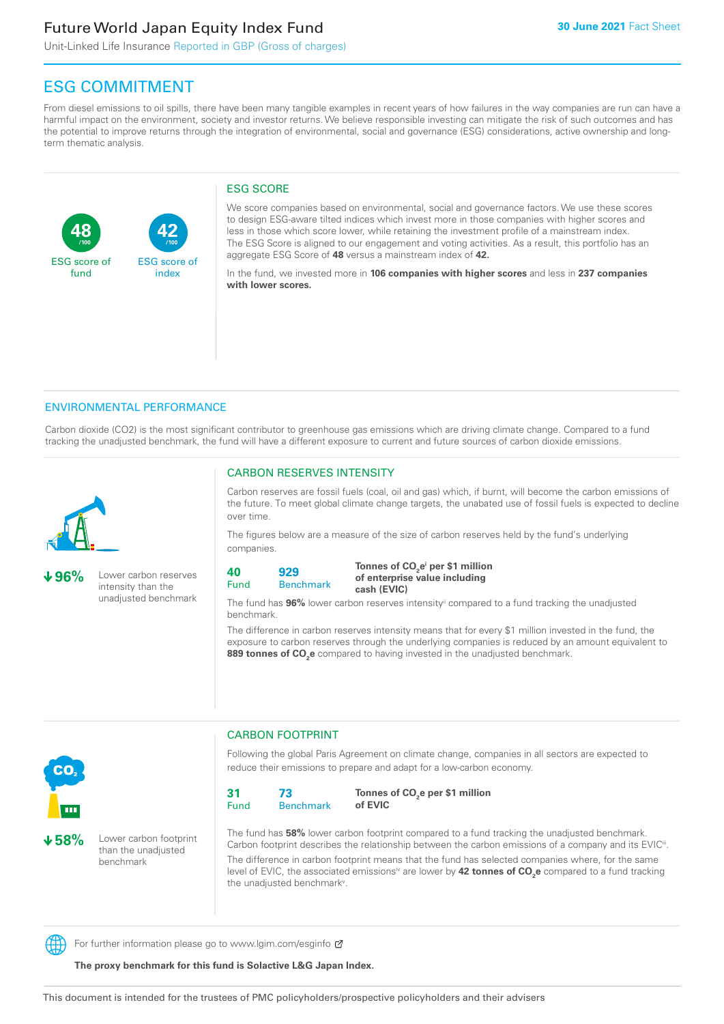### Future World Japan Equity Index Fund

**42**

ESG score of index

Unit-Linked Life Insurance Reported in GBP (Gross of charges)

### ESG COMMITMENT

From diesel emissions to oil spills, there have been many tangible examples in recent years of how failures in the way companies are run can have a harmful impact on the environment, society and investor returns. We believe responsible investing can mitigate the risk of such outcomes and has the potential to improve returns through the integration of environmental, social and governance (ESG) considerations, active ownership and longterm thematic analysis.

#### ESG SCORE

We score companies based on environmental, social and governance factors. We use these scores to design ESG-aware tilted indices which invest more in those companies with higher scores and less in those which score lower, while retaining the investment profile of a mainstream index. The ESG Score is aligned to our engagement and voting activities. As a result, this portfolio has an aggregate ESG Score of **48** versus a mainstream index of **42.**

In the fund, we invested more in **106 companies with higher scores** and less in **237 companies with lower scores.**

#### ENVIRONMENTAL PERFORMANCE

**/100 /100**

Carbon dioxide (CO2) is the most significant contributor to greenhouse gas emissions which are driving climate change. Compared to a fund tracking the unadjusted benchmark, the fund will have a different exposure to current and future sources of carbon dioxide emissions.



**48**

ESG score of fund

**96%** Lower carbon reserves intensity than the unadjusted benchmark

#### CARBON RESERVES INTENSITY

Carbon reserves are fossil fuels (coal, oil and gas) which, if burnt, will become the carbon emissions of the future. To meet global climate change targets, the unabated use of fossil fuels is expected to decline over time.

The figures below are a measure of the size of carbon reserves held by the fund's underlying companies.

| 40 | 929 |
|----|-----|
|    | --- |

Fund Benchmark

Tonnes of CO<sub>2</sub>e<sup>i</sup> per \$1 million **of enterprise value including cash (EVIC)**

The fund has **96%** lower carbon reserves intensityii compared to a fund tracking the unadjusted benchmark.

The difference in carbon reserves intensity means that for every \$1 million invested in the fund, the exposure to carbon reserves through the underlying companies is reduced by an amount equivalent to **889 tonnes of CO<sub>2</sub>e** compared to having invested in the unadjusted benchmark.



**58%** Lower carbon footprint than the unadjusted benchmark

CARBON FOOTPRINT

Following the global Paris Agreement on climate change, companies in all sectors are expected to reduce their emissions to prepare and adapt for a low-carbon economy.





The fund has **58%** lower carbon footprint compared to a fund tracking the unadjusted benchmark. Carbon footprint describes the relationship between the carbon emissions of a company and its EVIC<sup>ii</sup>. The difference in carbon footprint means that the fund has selected companies where, for the same level of EVIC, the associated emissionsi<sup>v</sup> are lower by **42 tonnes of CO<sub>2</sub>e** compared to a fund tracking the unadjusted benchmark<sup>v</sup>.

For further information please go to www.lgim.com/esginfo  $\sigma$ 

**The proxy benchmark for this fund is Solactive L&G Japan Index.**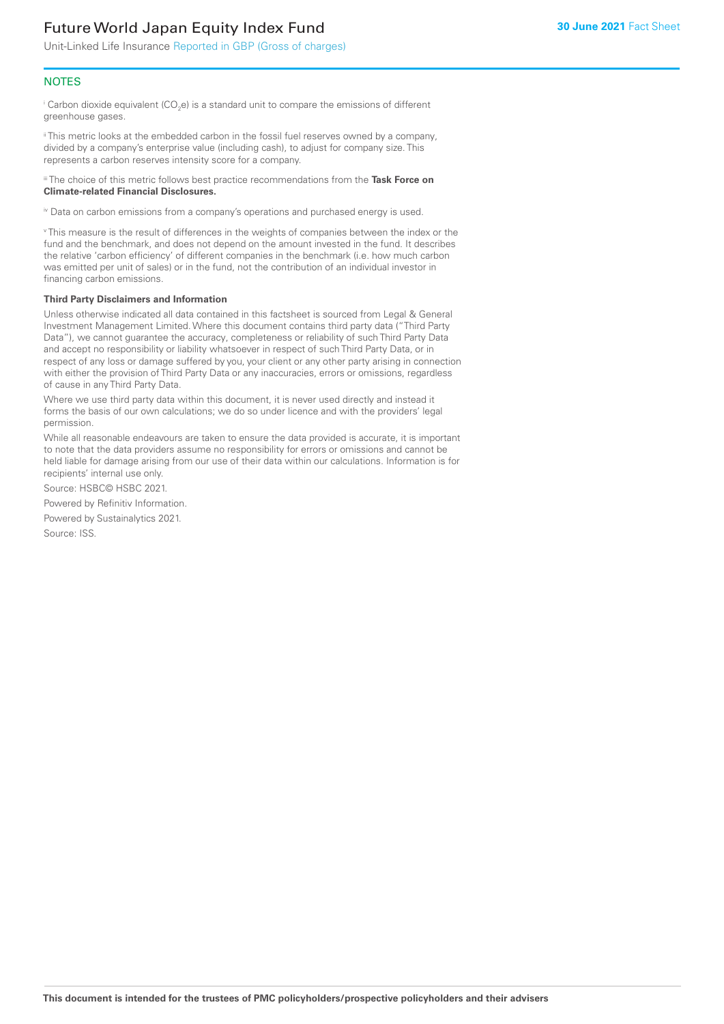### Future World Japan Equity Index Fund

Unit-Linked Life Insurance Reported in GBP (Gross of charges)

#### **NOTES**

 $^\mathrm{i}$  Carbon dioxide equivalent (CO<sub>2</sub>e) is a standard unit to compare the emissions of different greenhouse gases.

ii This metric looks at the embedded carbon in the fossil fuel reserves owned by a company, divided by a company's enterprise value (including cash), to adjust for company size. This represents a carbon reserves intensity score for a company.

iii The choice of this metric follows best practice recommendations from the **Task Force on Climate-related Financial Disclosures.**

iv Data on carbon emissions from a company's operations and purchased energy is used.

v This measure is the result of differences in the weights of companies between the index or the fund and the benchmark, and does not depend on the amount invested in the fund. It describes the relative 'carbon efficiency' of different companies in the benchmark (i.e. how much carbon was emitted per unit of sales) or in the fund, not the contribution of an individual investor in financing carbon emissions.

#### **Third Party Disclaimers and Information**

Unless otherwise indicated all data contained in this factsheet is sourced from Legal & General Investment Management Limited. Where this document contains third party data ("Third Party Data"), we cannot guarantee the accuracy, completeness or reliability of such Third Party Data and accept no responsibility or liability whatsoever in respect of such Third Party Data, or in respect of any loss or damage suffered by you, your client or any other party arising in connection with either the provision of Third Party Data or any inaccuracies, errors or omissions, regardless of cause in any Third Party Data.

Where we use third party data within this document, it is never used directly and instead it forms the basis of our own calculations; we do so under licence and with the providers' legal permission.

While all reasonable endeavours are taken to ensure the data provided is accurate, it is important to note that the data providers assume no responsibility for errors or omissions and cannot be held liable for damage arising from our use of their data within our calculations. Information is for recipients' internal use only.

Source: HSBC© HSBC 2021.

Powered by Refinitiv Information.

Powered by Sustainalytics 2021.

Source: ISS.